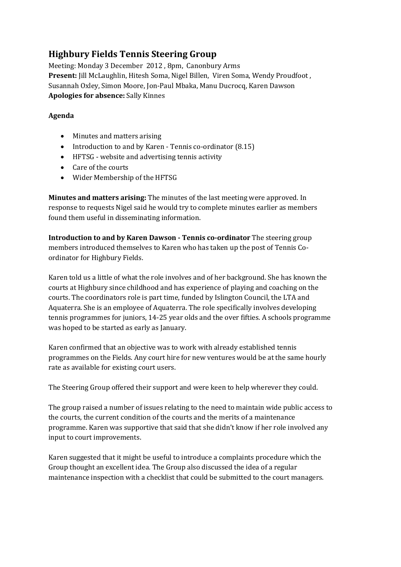# **Highbury Fields Tennis Steering Group**

Meeting: Monday 3 December 2012 , 8pm, Canonbury Arms **Present:** Jill McLaughlin, Hitesh Soma, Nigel Billen, Viren Soma, Wendy Proudfoot , Susannah Oxley, Simon Moore, Jon-Paul Mbaka, Manu Ducrocq, Karen Dawson **Apologies for absence:** Sally Kinnes

# **Agenda**

- Minutes and matters arising
- Introduction to and by Karen Tennis co-ordinator (8.15)
- HFTSG website and advertising tennis activity
- Care of the courts
- Wider Membership of the HFTSG

**Minutes and matters arising:** The minutes of the last meeting were approved. In response to requests Nigel said he would try to complete minutes earlier as members found them useful in disseminating information.

**Introduction to and by Karen Dawson - Tennis co-ordinator** The steering group members introduced themselves to Karen who has taken up the post of Tennis Coordinator for Highbury Fields.

Karen told us a little of what the role involves and of her background. She has known the courts at Highbury since childhood and has experience of playing and coaching on the courts. The coordinators role is part time, funded by Islington Council, the LTA and Aquaterra. She is an employee of Aquaterra. The role specifically involves developing tennis programmes for juniors, 14-25 year olds and the over fifties. A schools programme was hoped to be started as early as January.

Karen confirmed that an objective was to work with already established tennis programmes on the Fields. Any court hire for new ventures would be at the same hourly rate as available for existing court users.

The Steering Group offered their support and were keen to help wherever they could.

The group raised a number of issues relating to the need to maintain wide public access to the courts, the current condition of the courts and the merits of a maintenance programme. Karen was supportive that said that she didn't know if her role involved any input to court improvements.

Karen suggested that it might be useful to introduce a complaints procedure which the Group thought an excellent idea. The Group also discussed the idea of a regular maintenance inspection with a checklist that could be submitted to the court managers.